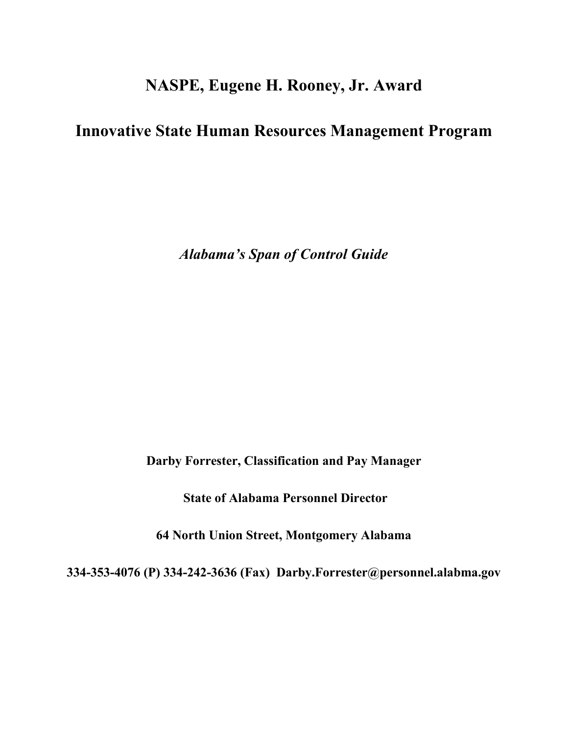# **NASPE, Eugene H. Rooney, Jr. Award**

## **Innovative State Human Resources Management Program**

*Alabama's Span of Control Guide*

**Darby Forrester, Classification and Pay Manager**

**State of Alabama Personnel Director**

**64 North Union Street, Montgomery Alabama**

**334-353-4076 (P) 334-242-3636 (Fax) Darby.Forrester@personnel.alabma.gov**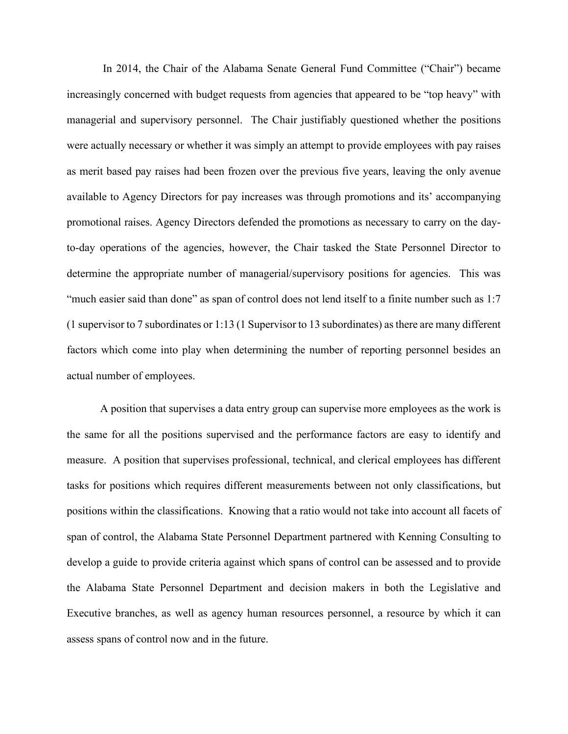In 2014, the Chair of the Alabama Senate General Fund Committee ("Chair") became increasingly concerned with budget requests from agencies that appeared to be "top heavy" with managerial and supervisory personnel. The Chair justifiably questioned whether the positions were actually necessary or whether it was simply an attempt to provide employees with pay raises as merit based pay raises had been frozen over the previous five years, leaving the only avenue available to Agency Directors for pay increases was through promotions and its' accompanying promotional raises. Agency Directors defended the promotions as necessary to carry on the dayto-day operations of the agencies, however, the Chair tasked the State Personnel Director to determine the appropriate number of managerial/supervisory positions for agencies. This was "much easier said than done" as span of control does not lend itself to a finite number such as 1:7 (1 supervisor to 7 subordinates or 1:13 (1 Supervisor to 13 subordinates) as there are many different factors which come into play when determining the number of reporting personnel besides an actual number of employees.

A position that supervises a data entry group can supervise more employees as the work is the same for all the positions supervised and the performance factors are easy to identify and measure. A position that supervises professional, technical, and clerical employees has different tasks for positions which requires different measurements between not only classifications, but positions within the classifications. Knowing that a ratio would not take into account all facets of span of control, the Alabama State Personnel Department partnered with Kenning Consulting to develop a guide to provide criteria against which spans of control can be assessed and to provide the Alabama State Personnel Department and decision makers in both the Legislative and Executive branches, as well as agency human resources personnel, a resource by which it can assess spans of control now and in the future.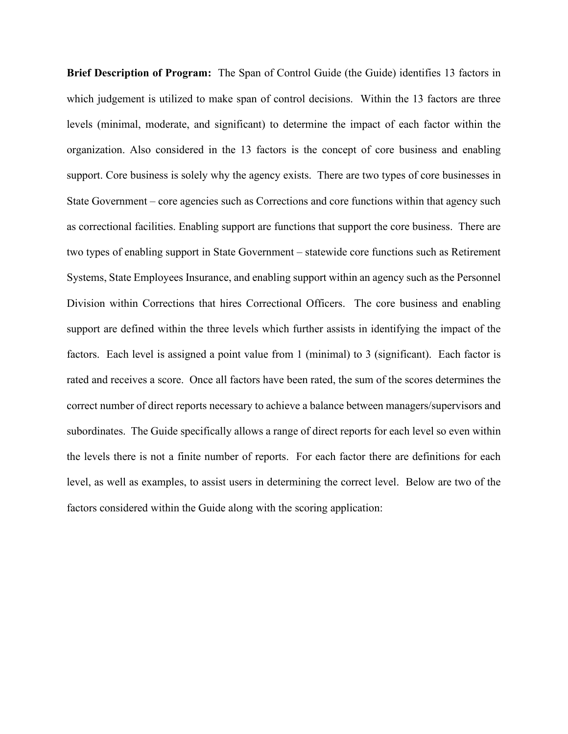**Brief Description of Program:** The Span of Control Guide (the Guide) identifies 13 factors in which judgement is utilized to make span of control decisions. Within the 13 factors are three levels (minimal, moderate, and significant) to determine the impact of each factor within the organization. Also considered in the 13 factors is the concept of core business and enabling support. Core business is solely why the agency exists. There are two types of core businesses in State Government – core agencies such as Corrections and core functions within that agency such as correctional facilities. Enabling support are functions that support the core business. There are two types of enabling support in State Government – statewide core functions such as Retirement Systems, State Employees Insurance, and enabling support within an agency such as the Personnel Division within Corrections that hires Correctional Officers. The core business and enabling support are defined within the three levels which further assists in identifying the impact of the factors. Each level is assigned a point value from 1 (minimal) to 3 (significant). Each factor is rated and receives a score. Once all factors have been rated, the sum of the scores determines the correct number of direct reports necessary to achieve a balance between managers/supervisors and subordinates. The Guide specifically allows a range of direct reports for each level so even within the levels there is not a finite number of reports. For each factor there are definitions for each level, as well as examples, to assist users in determining the correct level. Below are two of the factors considered within the Guide along with the scoring application: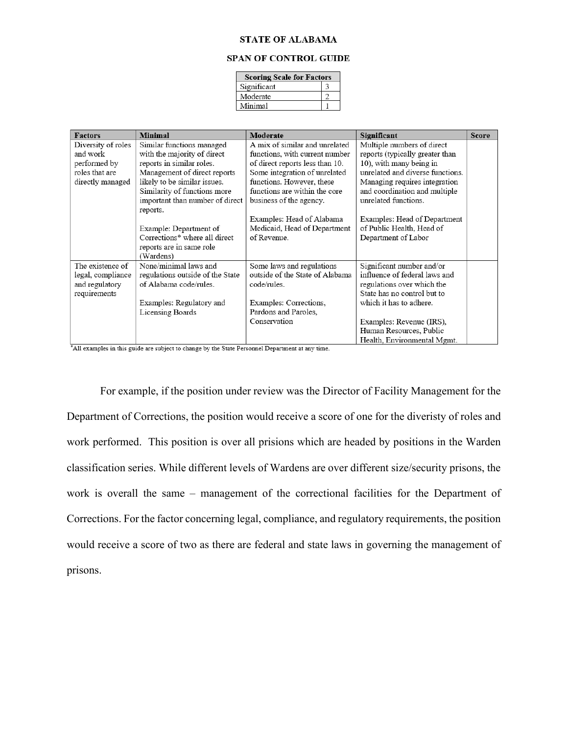#### **STATE OF ALABAMA**

### **SPAN OF CONTROL GUIDE**

| <b>Scoring Scale for Factors</b> |  |  |
|----------------------------------|--|--|
| Significant                      |  |  |
| Moderate                         |  |  |
| Minimal                          |  |  |

| <b>Factors</b>     | <b>Minimal</b>                   | Moderate                        | Significant                      | <b>Score</b> |
|--------------------|----------------------------------|---------------------------------|----------------------------------|--------------|
| Diversity of roles | Similar functions managed        | A mix of similar and unrelated  | Multiple numbers of direct       |              |
| and work           | with the majority of direct      | functions, with current number  | reports (typically greater than  |              |
| performed by       | reports in similar roles.        | of direct reports less than 10. | 10), with many being in          |              |
| roles that are     | Management of direct reports     | Some integration of unrelated   | unrelated and diverse functions. |              |
| directly managed   | likely to be similar issues.     | functions. However, these       | Managing requires integration    |              |
|                    | Similarity of functions more     | functions are within the core   | and coordination and multiple    |              |
|                    | important than number of direct  | business of the agency.         | unrelated functions.             |              |
|                    | reports.                         |                                 |                                  |              |
|                    |                                  | Examples: Head of Alabama       | Examples: Head of Department     |              |
|                    | Example: Department of           | Medicaid, Head of Department    | of Public Health, Head of        |              |
|                    | Corrections* where all direct    | of Revenue.                     | Department of Labor              |              |
|                    | reports are in same role         |                                 |                                  |              |
|                    | (Wardens)                        |                                 |                                  |              |
| The existence of   | None/minimal laws and            | Some laws and regulations       | Significant number and/or        |              |
| legal, compliance  | regulations outside of the State | outside of the State of Alabama | influence of federal laws and    |              |
| and regulatory     | of Alabama code/rules.           | code/rules.                     | regulations over which the       |              |
| requirements       |                                  |                                 | State has no control but to      |              |
|                    | Examples: Regulatory and         | Examples: Corrections,          | which it has to adhere.          |              |
|                    | Licensing Boards                 | Pardons and Paroles,            |                                  |              |
|                    |                                  | Conservation                    | Examples: Revenue (IRS),         |              |
|                    |                                  |                                 | Human Resources, Public          |              |
|                    |                                  |                                 | Health, Environmental Mgmt.      |              |

\*All examples in this guide are subject to change by the State Personnel Department at any time.

For example, if the position under review was the Director of Facility Management for the Department of Corrections, the position would receive a score of one for the diveristy of roles and work performed. This position is over all prisions which are headed by positions in the Warden classification series. While different levels of Wardens are over different size/security prisons, the work is overall the same – management of the correctional facilities for the Department of Corrections. For the factor concerning legal, compliance, and regulatory requirements, the position would receive a score of two as there are federal and state laws in governing the management of prisons.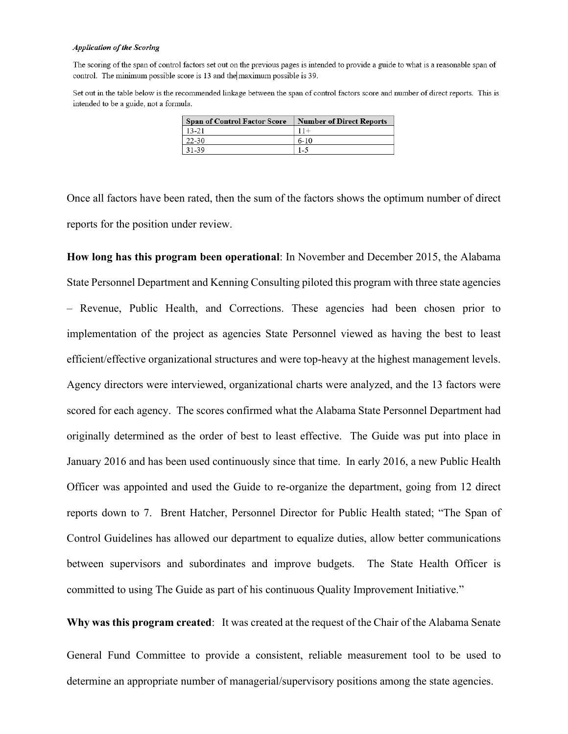#### **Application of the Scoring**

The scoring of the span of control factors set out on the previous pages is intended to provide a guide to what is a reasonable span of control. The minimum possible score is 13 and the maximum possible is 39.

Set out in the table below is the recommended linkage between the span of control factors score and number of direct reports. This is intended to be a guide, not a formula.

| <b>Span of Control Factor Score</b> | <b>Number of Direct Reports</b> |
|-------------------------------------|---------------------------------|
| 13-21                               | $11+$                           |
| 22-30                               | $6 - 10$                        |
| 31-39                               | $1 - 5$                         |

Once all factors have been rated, then the sum of the factors shows the optimum number of direct reports for the position under review.

**How long has this program been operational**: In November and December 2015, the Alabama State Personnel Department and Kenning Consulting piloted this program with three state agencies – Revenue, Public Health, and Corrections. These agencies had been chosen prior to implementation of the project as agencies State Personnel viewed as having the best to least efficient/effective organizational structures and were top-heavy at the highest management levels. Agency directors were interviewed, organizational charts were analyzed, and the 13 factors were scored for each agency. The scores confirmed what the Alabama State Personnel Department had originally determined as the order of best to least effective. The Guide was put into place in January 2016 and has been used continuously since that time. In early 2016, a new Public Health Officer was appointed and used the Guide to re-organize the department, going from 12 direct reports down to 7. Brent Hatcher, Personnel Director for Public Health stated; "The Span of Control Guidelines has allowed our department to equalize duties, allow better communications between supervisors and subordinates and improve budgets. The State Health Officer is committed to using The Guide as part of his continuous Quality Improvement Initiative."

**Why was this program created**: It was created at the request of the Chair of the Alabama Senate General Fund Committee to provide a consistent, reliable measurement tool to be used to determine an appropriate number of managerial/supervisory positions among the state agencies.